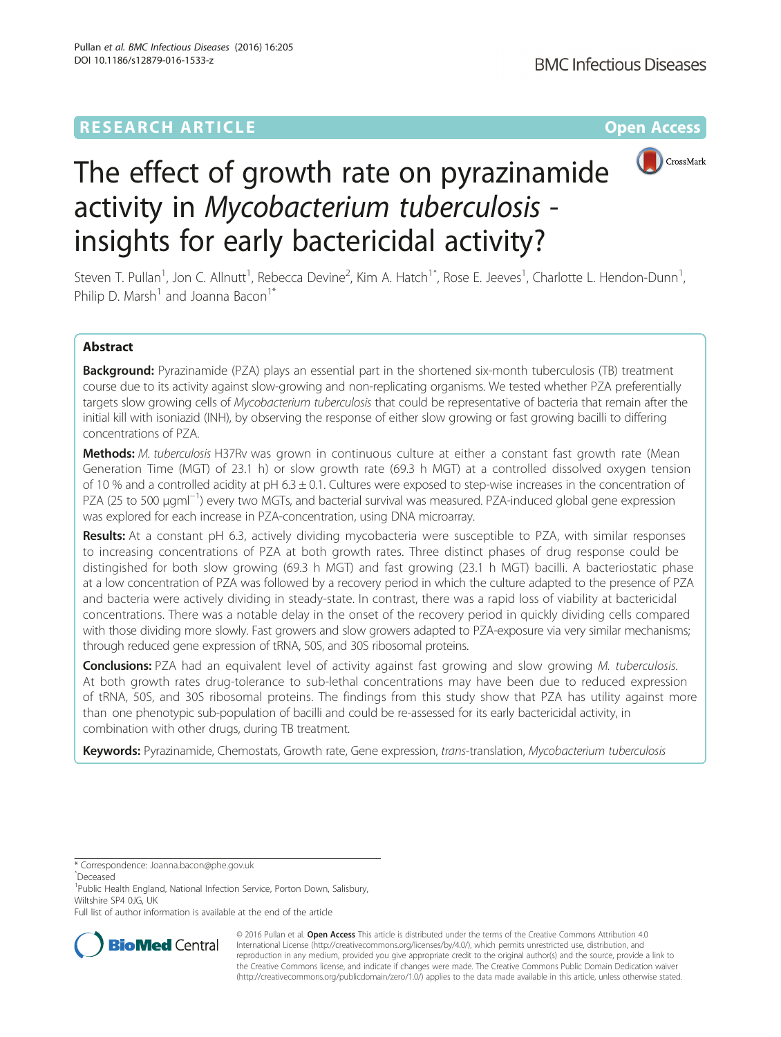## **RESEARCH ARTICLE Example 2014 12:30 The Contract of Contract ACCESS**



# The effect of growth rate on pyrazinamide activity in Mycobacterium tuberculosis insights for early bactericidal activity?

Steven T. Pullan<sup>1</sup>, Jon C. Allnutt<sup>1</sup>, Rebecca Devine<sup>2</sup>, Kim A. Hatch<sup>1^</sup>, Rose E. Jeeves<sup>1</sup>, Charlotte L. Hendon-Dunn<sup>1</sup> , Philip D. Marsh<sup>1</sup> and Joanna Bacon<sup>1\*</sup>

## Abstract

Background: Pyrazinamide (PZA) plays an essential part in the shortened six-month tuberculosis (TB) treatment course due to its activity against slow-growing and non-replicating organisms. We tested whether PZA preferentially targets slow growing cells of Mycobacterium tuberculosis that could be representative of bacteria that remain after the initial kill with isoniazid (INH), by observing the response of either slow growing or fast growing bacilli to differing concentrations of PZA.

Methods: M. tuberculosis H37Rv was grown in continuous culture at either a constant fast growth rate (Mean Generation Time (MGT) of 23.1 h) or slow growth rate (69.3 h MGT) at a controlled dissolved oxygen tension of 10 % and a controlled acidity at pH  $6.3 \pm 0.1$ . Cultures were exposed to step-wise increases in the concentration of PZA (25 to 500 µgml<sup>-1</sup>) every two MGTs, and bacterial survival was measured. PZA-induced global gene expression was explored for each increase in PZA-concentration, using DNA microarray.

Results: At a constant pH 6.3, actively dividing mycobacteria were susceptible to PZA, with similar responses to increasing concentrations of PZA at both growth rates. Three distinct phases of drug response could be distingished for both slow growing (69.3 h MGT) and fast growing (23.1 h MGT) bacilli. A bacteriostatic phase at a low concentration of PZA was followed by a recovery period in which the culture adapted to the presence of PZA and bacteria were actively dividing in steady-state. In contrast, there was a rapid loss of viability at bactericidal concentrations. There was a notable delay in the onset of the recovery period in quickly dividing cells compared with those dividing more slowly. Fast growers and slow growers adapted to PZA-exposure via very similar mechanisms; through reduced gene expression of tRNA, 50S, and 30S ribosomal proteins.

**Conclusions:** PZA had an equivalent level of activity against fast growing and slow growing M. tuberculosis. At both growth rates drug-tolerance to sub-lethal concentrations may have been due to reduced expression of tRNA, 50S, and 30S ribosomal proteins. The findings from this study show that PZA has utility against more than one phenotypic sub-population of bacilli and could be re-assessed for its early bactericidal activity, in combination with other drugs, during TB treatment.

Keywords: Pyrazinamide, Chemostats, Growth rate, Gene expression, trans-translation, Mycobacterium tuberculosis

\* Correspondence: [Joanna.bacon@phe.gov.uk](mailto:Joanna.bacon@phe.gov.uk) <sup>ˆ</sup>Deceased

Full list of author information is available at the end of the article



© 2016 Pullan et al. Open Access This article is distributed under the terms of the Creative Commons Attribution 4.0 International License [\(http://creativecommons.org/licenses/by/4.0/](http://creativecommons.org/licenses/by/4.0/)), which permits unrestricted use, distribution, and reproduction in any medium, provided you give appropriate credit to the original author(s) and the source, provide a link to the Creative Commons license, and indicate if changes were made. The Creative Commons Public Domain Dedication waiver [\(http://creativecommons.org/publicdomain/zero/1.0/](http://creativecommons.org/publicdomain/zero/1.0/)) applies to the data made available in this article, unless otherwise stated.

<sup>&</sup>lt;sup>1</sup>Public Health England, National Infection Service, Porton Down, Salisbury, Wiltshire SP4 0JG, UK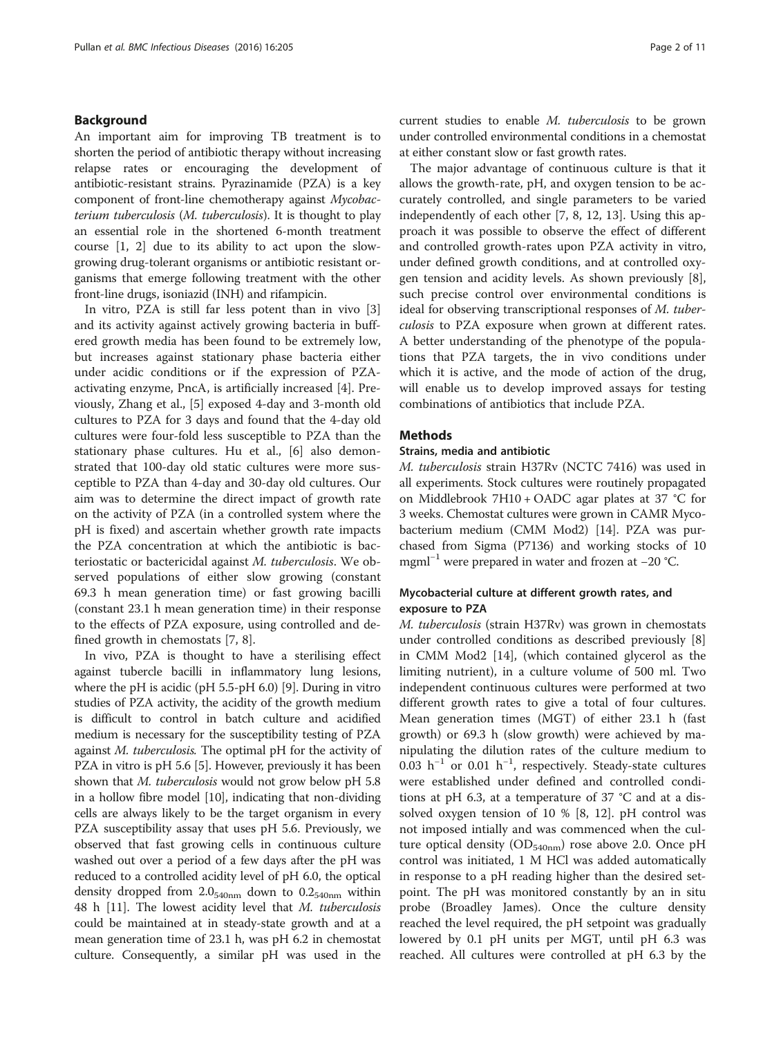## Background

An important aim for improving TB treatment is to shorten the period of antibiotic therapy without increasing relapse rates or encouraging the development of antibiotic-resistant strains. Pyrazinamide (PZA) is a key component of front-line chemotherapy against Mycobacterium tuberculosis (M. tuberculosis). It is thought to play an essential role in the shortened 6-month treatment course [\[1](#page-9-0), [2](#page-9-0)] due to its ability to act upon the slowgrowing drug-tolerant organisms or antibiotic resistant organisms that emerge following treatment with the other front-line drugs, isoniazid (INH) and rifampicin.

In vitro, PZA is still far less potent than in vivo [\[3](#page-9-0)] and its activity against actively growing bacteria in buffered growth media has been found to be extremely low, but increases against stationary phase bacteria either under acidic conditions or if the expression of PZAactivating enzyme, PncA, is artificially increased [\[4\]](#page-9-0). Previously, Zhang et al., [[5\]](#page-9-0) exposed 4-day and 3-month old cultures to PZA for 3 days and found that the 4-day old cultures were four-fold less susceptible to PZA than the stationary phase cultures. Hu et al., [\[6](#page-10-0)] also demonstrated that 100-day old static cultures were more susceptible to PZA than 4-day and 30-day old cultures. Our aim was to determine the direct impact of growth rate on the activity of PZA (in a controlled system where the pH is fixed) and ascertain whether growth rate impacts the PZA concentration at which the antibiotic is bacteriostatic or bactericidal against M. tuberculosis. We observed populations of either slow growing (constant 69.3 h mean generation time) or fast growing bacilli (constant 23.1 h mean generation time) in their response to the effects of PZA exposure, using controlled and defined growth in chemostats [[7, 8\]](#page-10-0).

In vivo, PZA is thought to have a sterilising effect against tubercle bacilli in inflammatory lung lesions, where the pH is acidic (pH 5.5-pH 6.0) [[9\]](#page-10-0). During in vitro studies of PZA activity, the acidity of the growth medium is difficult to control in batch culture and acidified medium is necessary for the susceptibility testing of PZA against M. tuberculosis. The optimal pH for the activity of PZA in vitro is pH 5.6 [\[5](#page-9-0)]. However, previously it has been shown that *M. tuberculosis* would not grow below pH 5.8 in a hollow fibre model [\[10\]](#page-10-0), indicating that non-dividing cells are always likely to be the target organism in every PZA susceptibility assay that uses pH 5.6. Previously, we observed that fast growing cells in continuous culture washed out over a period of a few days after the pH was reduced to a controlled acidity level of pH 6.0, the optical density dropped from  $2.0_{540nm}$  down to  $0.2_{540nm}$  within 48 h [\[11\]](#page-10-0). The lowest acidity level that *M. tuberculosis* could be maintained at in steady-state growth and at a mean generation time of 23.1 h, was pH 6.2 in chemostat culture. Consequently, a similar pH was used in the current studies to enable M. tuberculosis to be grown under controlled environmental conditions in a chemostat at either constant slow or fast growth rates.

The major advantage of continuous culture is that it allows the growth-rate, pH, and oxygen tension to be accurately controlled, and single parameters to be varied independently of each other [[7, 8, 12, 13](#page-10-0)]. Using this approach it was possible to observe the effect of different and controlled growth-rates upon PZA activity in vitro, under defined growth conditions, and at controlled oxygen tension and acidity levels. As shown previously [\[8](#page-10-0)], such precise control over environmental conditions is ideal for observing transcriptional responses of M. tuberculosis to PZA exposure when grown at different rates. A better understanding of the phenotype of the populations that PZA targets, the in vivo conditions under which it is active, and the mode of action of the drug, will enable us to develop improved assays for testing combinations of antibiotics that include PZA.

## **Methods**

#### Strains, media and antibiotic

M. tuberculosis strain H37Rv (NCTC 7416) was used in all experiments. Stock cultures were routinely propagated on Middlebrook 7H10 + OADC agar plates at 37 °C for 3 weeks. Chemostat cultures were grown in CAMR Mycobacterium medium (CMM Mod2) [\[14\]](#page-10-0). PZA was purchased from Sigma (P7136) and working stocks of 10 mgml<sup>-1</sup> were prepared in water and frozen at  $-20$  °C.

## Mycobacterial culture at different growth rates, and exposure to PZA

M. tuberculosis (strain H37Rv) was grown in chemostats under controlled conditions as described previously [\[8](#page-10-0)] in CMM Mod2 [\[14](#page-10-0)], (which contained glycerol as the limiting nutrient), in a culture volume of 500 ml. Two independent continuous cultures were performed at two different growth rates to give a total of four cultures. Mean generation times (MGT) of either 23.1 h (fast growth) or 69.3 h (slow growth) were achieved by manipulating the dilution rates of the culture medium to 0.03 h−<sup>1</sup> or 0.01 h−<sup>1</sup> , respectively. Steady-state cultures were established under defined and controlled conditions at pH 6.3, at a temperature of 37 °C and at a dissolved oxygen tension of 10 % [\[8](#page-10-0), [12](#page-10-0)]. pH control was not imposed intially and was commenced when the culture optical density ( $OD_{540nm}$ ) rose above 2.0. Once pH control was initiated, 1 M HCl was added automatically in response to a pH reading higher than the desired setpoint. The pH was monitored constantly by an in situ probe (Broadley James). Once the culture density reached the level required, the pH setpoint was gradually lowered by 0.1 pH units per MGT, until pH 6.3 was reached. All cultures were controlled at pH 6.3 by the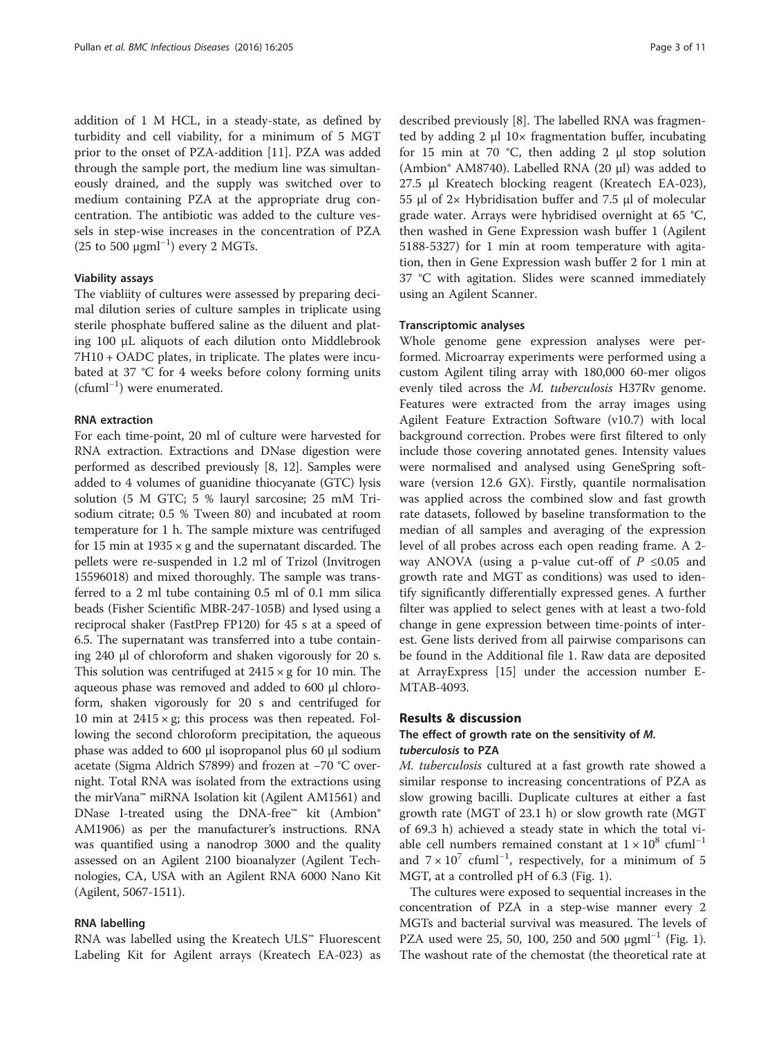addition of 1 M HCL, in a steady-state, as defined by turbidity and cell viability, for a minimum of 5 MGT prior to the onset of PZA-addition [\[11\]](#page-10-0). PZA was added through the sample port, the medium line was simultaneously drained, and the supply was switched over to medium containing PZA at the appropriate drug concentration. The antibiotic was added to the culture vessels in step-wise increases in the concentration of PZA (25 to 500  $\mu$ gml<sup>-1</sup>) every 2 MGTs.

## Viability assays

The viabliity of cultures were assessed by preparing decimal dilution series of culture samples in triplicate using sterile phosphate buffered saline as the diluent and plating 100 μL aliquots of each dilution onto Middlebrook 7H10 + OADC plates, in triplicate. The plates were incubated at 37 °C for 4 weeks before colony forming units (cfuml−<sup>1</sup> ) were enumerated.

#### RNA extraction

For each time-point, 20 ml of culture were harvested for RNA extraction. Extractions and DNase digestion were performed as described previously [[8, 12](#page-10-0)]. Samples were added to 4 volumes of guanidine thiocyanate (GTC) lysis solution (5 M GTC; 5 % lauryl sarcosine; 25 mM Trisodium citrate; 0.5 % Tween 80) and incubated at room temperature for 1 h. The sample mixture was centrifuged for 15 min at  $1935 \times g$  and the supernatant discarded. The pellets were re-suspended in 1.2 ml of Trizol (Invitrogen 15596018) and mixed thoroughly. The sample was transferred to a 2 ml tube containing 0.5 ml of 0.1 mm silica beads (Fisher Scientific MBR-247-105B) and lysed using a reciprocal shaker (FastPrep FP120) for 45 s at a speed of 6.5. The supernatant was transferred into a tube containing 240 μl of chloroform and shaken vigorously for 20 s. This solution was centrifuged at  $2415 \times g$  for 10 min. The aqueous phase was removed and added to 600 μl chloroform, shaken vigorously for 20 s and centrifuged for 10 min at  $2415 \times g$ ; this process was then repeated. Following the second chloroform precipitation, the aqueous phase was added to 600 μl isopropanol plus 60 μl sodium acetate (Sigma Aldrich S7899) and frozen at −70 °C overnight. Total RNA was isolated from the extractions using the mirVana™ miRNA Isolation kit (Agilent AM1561) and DNase I-treated using the DNA-free™ kit (Ambion® AM1906) as per the manufacturer's instructions. RNA was quantified using a nanodrop 3000 and the quality assessed on an Agilent 2100 bioanalyzer (Agilent Technologies, CA, USA with an Agilent RNA 6000 Nano Kit (Agilent, 5067-1511).

#### RNA labelling

RNA was labelled using the Kreatech ULS™ Fluorescent Labeling Kit for Agilent arrays (Kreatech EA-023) as described previously [[8\]](#page-10-0). The labelled RNA was fragmented by adding 2 μl 10× fragmentation buffer, incubating for 15 min at 70 °C, then adding 2 μl stop solution (Ambion® AM8740). Labelled RNA (20 μl) was added to 27.5 μl Kreatech blocking reagent (Kreatech EA-023), 55 μl of 2× Hybridisation buffer and 7.5 μl of molecular grade water. Arrays were hybridised overnight at 65 °C, then washed in Gene Expression wash buffer 1 (Agilent 5188-5327) for 1 min at room temperature with agitation, then in Gene Expression wash buffer 2 for 1 min at 37 °C with agitation. Slides were scanned immediately using an Agilent Scanner.

## Transcriptomic analyses

Whole genome gene expression analyses were performed. Microarray experiments were performed using a custom Agilent tiling array with 180,000 60-mer oligos evenly tiled across the M. tuberculosis H37Rv genome. Features were extracted from the array images using Agilent Feature Extraction Software (v10.7) with local background correction. Probes were first filtered to only include those covering annotated genes. Intensity values were normalised and analysed using GeneSpring software (version 12.6 GX). Firstly, quantile normalisation was applied across the combined slow and fast growth rate datasets, followed by baseline transformation to the median of all samples and averaging of the expression level of all probes across each open reading frame. A 2 way ANOVA (using a p-value cut-off of  $P \le 0.05$  and growth rate and MGT as conditions) was used to identify significantly differentially expressed genes. A further filter was applied to select genes with at least a two-fold change in gene expression between time-points of interest. Gene lists derived from all pairwise comparisons can be found in the Additional file [1.](#page-9-0) Raw data are deposited at ArrayExpress [\[15\]](#page-10-0) under the accession number E-MTAB-4093.

#### Results & discussion

## The effect of growth rate on the sensitivity of M. tuberculosis to PZA

M. tuberculosis cultured at a fast growth rate showed a similar response to increasing concentrations of PZA as slow growing bacilli. Duplicate cultures at either a fast growth rate (MGT of 23.1 h) or slow growth rate (MGT of 69.3 h) achieved a steady state in which the total viable cell numbers remained constant at  $1 \times 10^8$  cfuml<sup>-1</sup> and  $7 \times 10^7$  cfuml<sup>-1</sup>, respectively, for a minimum of 5 MGT, at a controlled pH of 6.3 (Fig. [1](#page-3-0)).

The cultures were exposed to sequential increases in the concentration of PZA in a step-wise manner every 2 MGTs and bacterial survival was measured. The levels of PZA used were 25, 50, [1](#page-3-0)00, 250 and 500  $\mu$ gml<sup>-1</sup> (Fig. 1). The washout rate of the chemostat (the theoretical rate at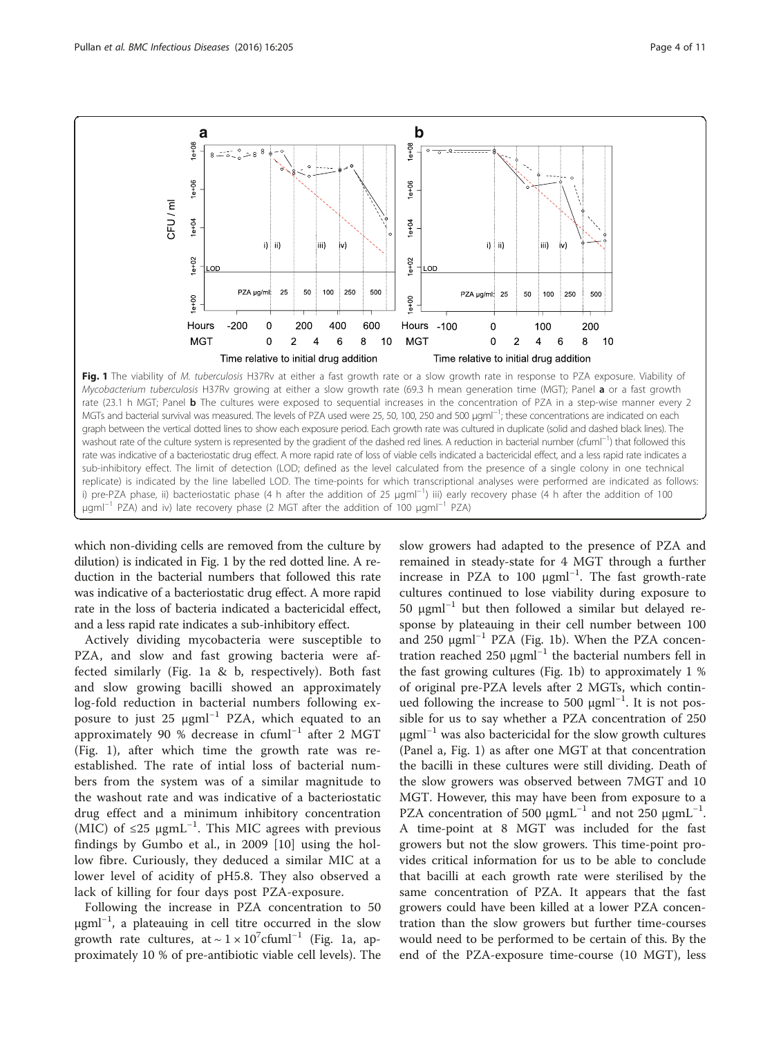<span id="page-3-0"></span>

Mycobacterium tuberculosis H37Rv growing at either a slow growth rate (69.3 h mean generation time (MGT); Panel **a** or a fast growth rate (23.1 h MGT; Panel **b** The cultures were exposed to sequential increases in the concentration of PZA in a step-wise manner every 2 MGTs and bacterial survival was measured. The levels of PZA used were 25, 50, 100, 250 and 500 µgml<sup>-1</sup>; these concentrations are indicated on each graph between the vertical dotted lines to show each exposure period. Each growth rate was cultured in duplicate (solid and dashed black lines). The washout rate of the culture system is represented by the gradient of the dashed red lines. A reduction in bacterial number (cfuml−<sup>1</sup> ) that followed this rate was indicative of a bacteriostatic drug effect. A more rapid rate of loss of viable cells indicated a bactericidal effect, and a less rapid rate indicates a sub-inhibitory effect. The limit of detection (LOD; defined as the level calculated from the presence of a single colony in one technical replicate) is indicated by the line labelled LOD. The time-points for which transcriptional analyses were performed are indicated as follows: i) pre-PZA phase, ii) bacteriostatic phase (4 h after the addition of 25 µgml<sup>−1</sup>) iii) early recovery phase (4 h after the addition of 100 μgml<sup>-1</sup> PZA) and iv) late recovery phase (2 MGT after the addition of 100 μgml<sup>-1</sup> PZA)

which non-dividing cells are removed from the culture by dilution) is indicated in Fig. 1 by the red dotted line. A reduction in the bacterial numbers that followed this rate was indicative of a bacteriostatic drug effect. A more rapid rate in the loss of bacteria indicated a bactericidal effect, and a less rapid rate indicates a sub-inhibitory effect.

Actively dividing mycobacteria were susceptible to PZA, and slow and fast growing bacteria were affected similarly (Fig. 1a & b, respectively). Both fast and slow growing bacilli showed an approximately log-fold reduction in bacterial numbers following exposure to just 25 μgml−<sup>1</sup> PZA, which equated to an approximately 90 % decrease in cfuml−<sup>1</sup> after 2 MGT (Fig. 1), after which time the growth rate was reestablished. The rate of intial loss of bacterial numbers from the system was of a similar magnitude to the washout rate and was indicative of a bacteriostatic drug effect and a minimum inhibitory concentration (MIC) of  $≤25 \mu gmL^{-1}$ . This MIC agrees with previous findings by Gumbo et al., in 2009 [[10](#page-10-0)] using the hollow fibre. Curiously, they deduced a similar MIC at a lower level of acidity of pH5.8. They also observed a lack of killing for four days post PZA-exposure.

Following the increase in PZA concentration to 50 μgml−<sup>1</sup> , a plateauing in cell titre occurred in the slow growth rate cultures, at ~  $1 \times 10^{7}$ cfuml<sup>-1</sup> (Fig. 1a, approximately 10 % of pre-antibiotic viable cell levels). The slow growers had adapted to the presence of PZA and remained in steady-state for 4 MGT through a further increase in PZA to 100 µgml<sup>-1</sup>. The fast growth-rate cultures continued to lose viability during exposure to 50 μgml<sup>-1</sup> but then followed a similar but delayed response by plateauing in their cell number between 100 and 250  $\mu$ gml<sup>-1</sup> PZA (Fig. 1b). When the PZA concentration reached 250  $\mu$ gml<sup>-1</sup> the bacterial numbers fell in the fast growing cultures (Fig. 1b) to approximately 1 % of original pre-PZA levels after 2 MGTs, which continued following the increase to 500 μgml<sup>-1</sup>. It is not possible for us to say whether a PZA concentration of 250  $μgml<sup>-1</sup>$  was also bactericidal for the slow growth cultures (Panel a, Fig. 1) as after one MGT at that concentration the bacilli in these cultures were still dividing. Death of the slow growers was observed between 7MGT and 10 MGT. However, this may have been from exposure to a PZA concentration of 500  $\mu$ gmL<sup>-1</sup> and not 250  $\mu$ gmL<sup>-1</sup>. A time-point at 8 MGT was included for the fast growers but not the slow growers. This time-point provides critical information for us to be able to conclude that bacilli at each growth rate were sterilised by the same concentration of PZA. It appears that the fast growers could have been killed at a lower PZA concentration than the slow growers but further time-courses would need to be performed to be certain of this. By the end of the PZA-exposure time-course (10 MGT), less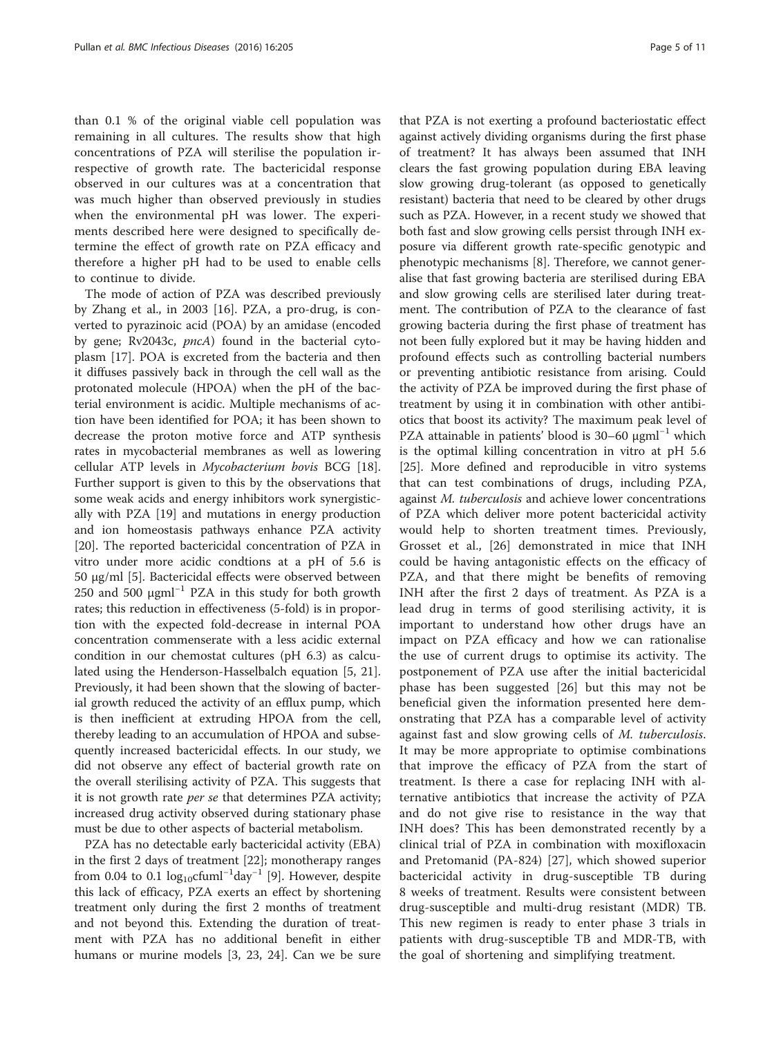than 0.1 % of the original viable cell population was remaining in all cultures. The results show that high concentrations of PZA will sterilise the population irrespective of growth rate. The bactericidal response observed in our cultures was at a concentration that was much higher than observed previously in studies when the environmental pH was lower. The experiments described here were designed to specifically determine the effect of growth rate on PZA efficacy and therefore a higher pH had to be used to enable cells to continue to divide.

The mode of action of PZA was described previously by Zhang et al., in 2003 [[16\]](#page-10-0). PZA, a pro-drug, is converted to pyrazinoic acid (POA) by an amidase (encoded by gene; Rv2043c, pncA) found in the bacterial cytoplasm [[17\]](#page-10-0). POA is excreted from the bacteria and then it diffuses passively back in through the cell wall as the protonated molecule (HPOA) when the pH of the bacterial environment is acidic. Multiple mechanisms of action have been identified for POA; it has been shown to decrease the proton motive force and ATP synthesis rates in mycobacterial membranes as well as lowering cellular ATP levels in Mycobacterium bovis BCG [\[18](#page-10-0)]. Further support is given to this by the observations that some weak acids and energy inhibitors work synergistically with PZA [[19\]](#page-10-0) and mutations in energy production and ion homeostasis pathways enhance PZA activity [[20\]](#page-10-0). The reported bactericidal concentration of PZA in vitro under more acidic condtions at a pH of 5.6 is 50 μg/ml [[5\]](#page-9-0). Bactericidal effects were observed between 250 and 500  $\mu$ gml<sup>-1</sup> PZA in this study for both growth rates; this reduction in effectiveness (5-fold) is in proportion with the expected fold-decrease in internal POA concentration commenserate with a less acidic external condition in our chemostat cultures (pH 6.3) as calculated using the Henderson-Hasselbalch equation [[5,](#page-9-0) [21](#page-10-0)]. Previously, it had been shown that the slowing of bacterial growth reduced the activity of an efflux pump, which is then inefficient at extruding HPOA from the cell, thereby leading to an accumulation of HPOA and subsequently increased bactericidal effects. In our study, we did not observe any effect of bacterial growth rate on the overall sterilising activity of PZA. This suggests that it is not growth rate per se that determines PZA activity; increased drug activity observed during stationary phase must be due to other aspects of bacterial metabolism.

PZA has no detectable early bactericidal activity (EBA) in the first 2 days of treatment [[22](#page-10-0)]; monotherapy ranges from 0.04 to 0.1  $log_{10}$ cfuml<sup>-1</sup>day<sup>-1</sup> [[9\]](#page-10-0). However, despite this lack of efficacy, PZA exerts an effect by shortening treatment only during the first 2 months of treatment and not beyond this. Extending the duration of treatment with PZA has no additional benefit in either humans or murine models [[3,](#page-9-0) [23, 24\]](#page-10-0). Can we be sure

that PZA is not exerting a profound bacteriostatic effect against actively dividing organisms during the first phase of treatment? It has always been assumed that INH clears the fast growing population during EBA leaving slow growing drug-tolerant (as opposed to genetically resistant) bacteria that need to be cleared by other drugs such as PZA. However, in a recent study we showed that both fast and slow growing cells persist through INH exposure via different growth rate-specific genotypic and phenotypic mechanisms [\[8](#page-10-0)]. Therefore, we cannot generalise that fast growing bacteria are sterilised during EBA and slow growing cells are sterilised later during treatment. The contribution of PZA to the clearance of fast growing bacteria during the first phase of treatment has not been fully explored but it may be having hidden and profound effects such as controlling bacterial numbers or preventing antibiotic resistance from arising. Could the activity of PZA be improved during the first phase of treatment by using it in combination with other antibiotics that boost its activity? The maximum peak level of PZA attainable in patients' blood is 30–60  $\mu$ gml<sup>-1</sup> which is the optimal killing concentration in vitro at pH 5.6 [[25\]](#page-10-0). More defined and reproducible in vitro systems that can test combinations of drugs, including PZA, against M. tuberculosis and achieve lower concentrations of PZA which deliver more potent bactericidal activity would help to shorten treatment times. Previously, Grosset et al., [\[26](#page-10-0)] demonstrated in mice that INH could be having antagonistic effects on the efficacy of PZA, and that there might be benefits of removing INH after the first 2 days of treatment. As PZA is a lead drug in terms of good sterilising activity, it is important to understand how other drugs have an impact on PZA efficacy and how we can rationalise the use of current drugs to optimise its activity. The postponement of PZA use after the initial bactericidal phase has been suggested [[26\]](#page-10-0) but this may not be beneficial given the information presented here demonstrating that PZA has a comparable level of activity against fast and slow growing cells of M. tuberculosis. It may be more appropriate to optimise combinations that improve the efficacy of PZA from the start of treatment. Is there a case for replacing INH with alternative antibiotics that increase the activity of PZA and do not give rise to resistance in the way that INH does? This has been demonstrated recently by a clinical trial of PZA in combination with moxifloxacin and Pretomanid (PA-824) [[27\]](#page-10-0), which showed superior bactericidal activity in drug-susceptible TB during 8 weeks of treatment. Results were consistent between drug-susceptible and multi-drug resistant (MDR) TB. This new regimen is ready to enter phase 3 trials in patients with drug-susceptible TB and MDR-TB, with the goal of shortening and simplifying treatment.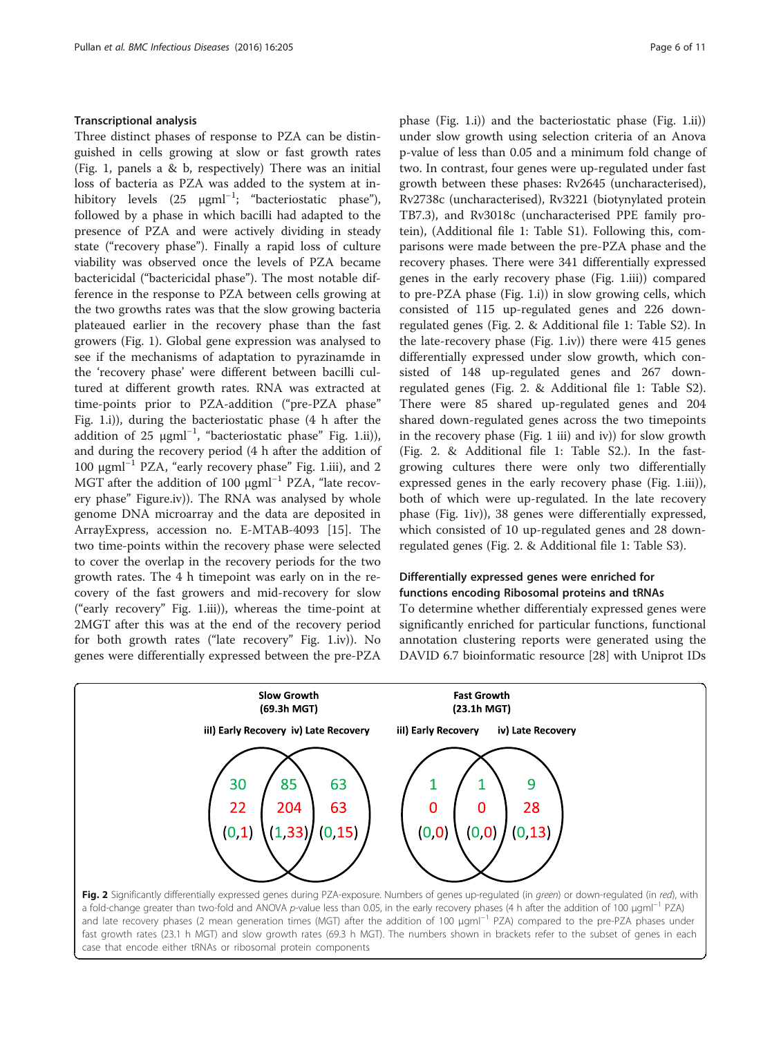### <span id="page-5-0"></span>Transcriptional analysis

Three distinct phases of response to PZA can be distinguished in cells growing at slow or fast growth rates (Fig. [1](#page-3-0), panels a & b, respectively) There was an initial loss of bacteria as PZA was added to the system at inhibitory levels (25 μgml<sup>-1</sup>; "bacteriostatic phase"), followed by a phase in which bacilli had adapted to the presence of PZA and were actively dividing in steady state ("recovery phase"). Finally a rapid loss of culture viability was observed once the levels of PZA became bactericidal ("bactericidal phase"). The most notable difference in the response to PZA between cells growing at the two growths rates was that the slow growing bacteria plateaued earlier in the recovery phase than the fast growers (Fig. [1](#page-3-0)). Global gene expression was analysed to see if the mechanisms of adaptation to pyrazinamde in the 'recovery phase' were different between bacilli cultured at different growth rates. RNA was extracted at time-points prior to PZA-addition ("pre-PZA phase" Fig. [1](#page-3-0).i)), during the bacteriostatic phase (4 h after the addition of 25 μgml<sup>-1</sup>, "bacteriostatic phase" Fig. [1.](#page-3-0)ii)), and during the recovery period (4 h after the addition of 100 μgml−<sup>1</sup> PZA, "early recovery phase" Fig. [1.](#page-3-0)iii), and 2 MGT after the addition of 100 μgml<sup>-1</sup> PZA, "late recovery phase" Figure.iv)). The RNA was analysed by whole genome DNA microarray and the data are deposited in ArrayExpress, accession no. E-MTAB-4093 [[15\]](#page-10-0). The two time-points within the recovery phase were selected to cover the overlap in the recovery periods for the two growth rates. The 4 h timepoint was early on in the recovery of the fast growers and mid-recovery for slow ("early recovery" Fig. [1.](#page-3-0)iii)), whereas the time-point at 2MGT after this was at the end of the recovery period for both growth rates ("late recovery" Fig. [1](#page-3-0).iv)). No genes were differentially expressed between the pre-PZA

case that encode either tRNAs or ribosomal protein components

phase (Fig. [1](#page-3-0).i)) and the bacteriostatic phase (Fig. [1.](#page-3-0)ii)) under slow growth using selection criteria of an Anova p-value of less than 0.05 and a minimum fold change of two. In contrast, four genes were up-regulated under fast growth between these phases: Rv2645 (uncharacterised), Rv2738c (uncharacterised), Rv3221 (biotynylated protein TB7.3), and Rv3018c (uncharacterised PPE family protein), (Additional file [1](#page-9-0): Table S1). Following this, comparisons were made between the pre-PZA phase and the recovery phases. There were 341 differentially expressed genes in the early recovery phase (Fig. [1.](#page-3-0)iii)) compared to pre-PZA phase (Fig. [1.](#page-3-0)i)) in slow growing cells, which consisted of 115 up-regulated genes and 226 downregulated genes (Fig. 2. & Additional file [1:](#page-9-0) Table S2). In the late-recovery phase (Fig. [1.](#page-3-0)iv)) there were 415 genes differentially expressed under slow growth, which consisted of 148 up-regulated genes and 267 downregulated genes (Fig. 2. & Additional file [1:](#page-9-0) Table S2). There were 85 shared up-regulated genes and 204 shared down-regulated genes across the two timepoints in the recovery phase (Fig. [1](#page-3-0) iii) and iv)) for slow growth (Fig. 2. & Additional file [1](#page-9-0): Table S2.). In the fastgrowing cultures there were only two differentially expressed genes in the early recovery phase (Fig. [1](#page-3-0).iii)), both of which were up-regulated. In the late recovery phase (Fig. [1](#page-3-0)iv)), 38 genes were differentially expressed, which consisted of 10 up-regulated genes and 28 downregulated genes (Fig. 2. & Additional file [1](#page-9-0): Table S3).

## Differentially expressed genes were enriched for functions encoding Ribosomal proteins and tRNAs

To determine whether differentialy expressed genes were significantly enriched for particular functions, functional annotation clustering reports were generated using the DAVID 6.7 bioinformatic resource [\[28\]](#page-10-0) with Uniprot IDs

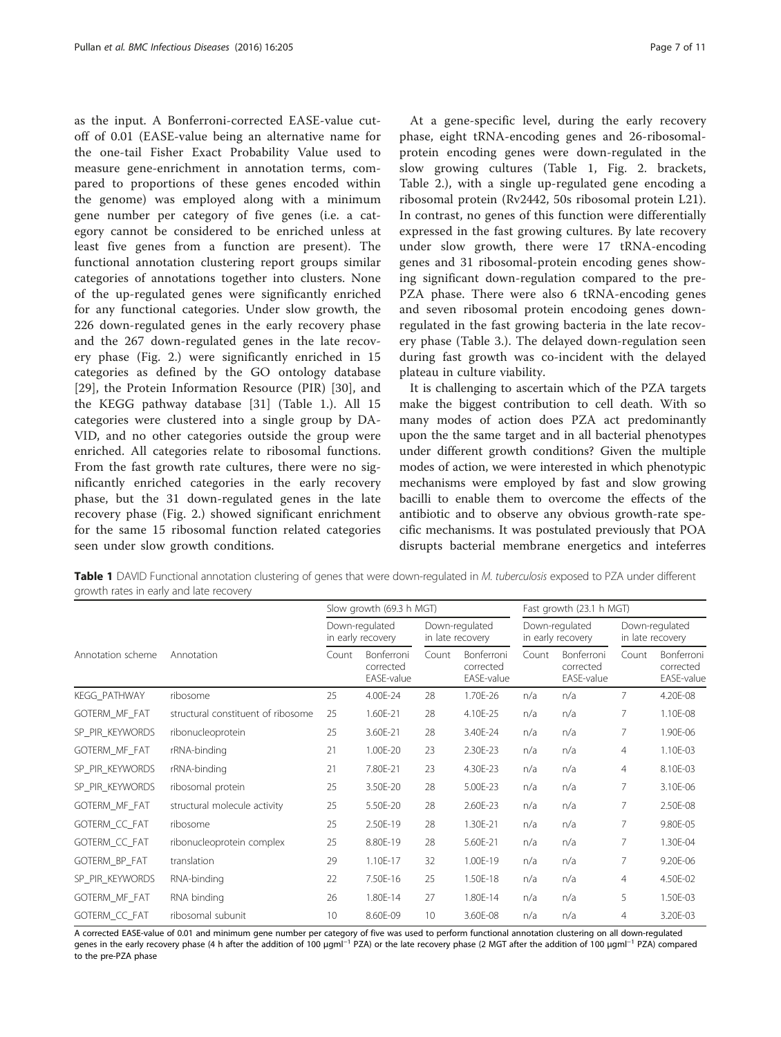as the input. A Bonferroni-corrected EASE-value cutoff of 0.01 (EASE-value being an alternative name for the one-tail Fisher Exact Probability Value used to measure gene-enrichment in annotation terms, compared to proportions of these genes encoded within the genome) was employed along with a minimum gene number per category of five genes (i.e. a category cannot be considered to be enriched unless at least five genes from a function are present). The functional annotation clustering report groups similar categories of annotations together into clusters. None of the up-regulated genes were significantly enriched for any functional categories. Under slow growth, the 226 down-regulated genes in the early recovery phase and the 267 down-regulated genes in the late recovery phase (Fig. [2](#page-5-0).) were significantly enriched in 15 categories as defined by the GO ontology database [[29\]](#page-10-0), the Protein Information Resource (PIR) [[30\]](#page-10-0), and the KEGG pathway database [\[31](#page-10-0)] (Table 1.). All 15 categories were clustered into a single group by DA-VID, and no other categories outside the group were enriched. All categories relate to ribosomal functions. From the fast growth rate cultures, there were no significantly enriched categories in the early recovery phase, but the 31 down-regulated genes in the late recovery phase (Fig. [2](#page-5-0).) showed significant enrichment for the same 15 ribosomal function related categories seen under slow growth conditions.

At a gene-specific level, during the early recovery phase, eight tRNA-encoding genes and 26-ribosomalprotein encoding genes were down-regulated in the slow growing cultures (Table 1, Fig. [2](#page-5-0). brackets, Table [2.](#page-7-0)), with a single up-regulated gene encoding a ribosomal protein (Rv2442, 50s ribosomal protein L21). In contrast, no genes of this function were differentially expressed in the fast growing cultures. By late recovery under slow growth, there were 17 tRNA-encoding genes and 31 ribosomal-protein encoding genes showing significant down-regulation compared to the pre-PZA phase. There were also 6 tRNA-encoding genes and seven ribosomal protein encodoing genes downregulated in the fast growing bacteria in the late recovery phase (Table [3](#page-8-0).). The delayed down-regulation seen during fast growth was co-incident with the delayed plateau in culture viability.

It is challenging to ascertain which of the PZA targets make the biggest contribution to cell death. With so many modes of action does PZA act predominantly upon the the same target and in all bacterial phenotypes under different growth conditions? Given the multiple modes of action, we were interested in which phenotypic mechanisms were employed by fast and slow growing bacilli to enable them to overcome the effects of the antibiotic and to observe any obvious growth-rate specific mechanisms. It was postulated previously that POA disrupts bacterial membrane energetics and inteferres

Table 1 DAVID Functional annotation clustering of genes that were down-regulated in M. tuberculosis exposed to PZA under different growth rates in early and late recovery

|                   |                                    | Slow growth (69.3 h MGT)            |                                       |                                    |                                       | Fast growth (23.1 h MGT)            |                                       |                                    |                                       |
|-------------------|------------------------------------|-------------------------------------|---------------------------------------|------------------------------------|---------------------------------------|-------------------------------------|---------------------------------------|------------------------------------|---------------------------------------|
|                   |                                    | Down-regulated<br>in early recovery |                                       | Down-regulated<br>in late recovery |                                       | Down-regulated<br>in early recovery |                                       | Down-regulated<br>in late recovery |                                       |
| Annotation scheme | Annotation                         | Count                               | Bonferroni<br>corrected<br>EASE-value | Count                              | Bonferroni<br>corrected<br>EASE-value | Count                               | Bonferroni<br>corrected<br>EASE-value | Count                              | Bonferroni<br>corrected<br>EASE-value |
| KEGG_PATHWAY      | ribosome                           | 25                                  | 4.00E-24                              | 28                                 | 1.70E-26                              | n/a                                 | n/a                                   | 7                                  | 4.20E-08                              |
| GOTERM_MF_FAT     | structural constituent of ribosome | 25                                  | 1.60E-21                              | 28                                 | 4.10E-25                              | n/a                                 | n/a                                   | 7                                  | 1.10E-08                              |
| SP_PIR_KEYWORDS   | ribonucleoprotein                  | 25                                  | 3.60E-21                              | 28                                 | 3.40E-24                              | n/a                                 | n/a                                   | 7                                  | 1.90E-06                              |
| GOTERM_MF_FAT     | rRNA-binding                       | 21                                  | 1.00E-20                              | 23                                 | 2.30E-23                              | n/a                                 | n/a                                   | $\overline{4}$                     | 1.10E-03                              |
| SP_PIR_KEYWORDS   | rRNA-binding                       | 21                                  | 7.80E-21                              | 23                                 | 4.30E-23                              | n/a                                 | n/a                                   | $\overline{4}$                     | 8.10E-03                              |
| SP_PIR_KEYWORDS   | ribosomal protein                  | 25                                  | 3.50E-20                              | 28                                 | 5.00E-23                              | n/a                                 | n/a                                   | 7                                  | 3.10E-06                              |
| GOTERM_MF_FAT     | structural molecule activity       | 25                                  | 5.50E-20                              | 28                                 | 2.60E-23                              | n/a                                 | n/a                                   | 7                                  | 2.50E-08                              |
| GOTERM_CC_FAT     | ribosome                           | 25                                  | 2.50E-19                              | 28                                 | 1.30E-21                              | n/a                                 | n/a                                   | 7                                  | 9.80E-05                              |
| GOTERM_CC_FAT     | ribonucleoprotein complex          | 25                                  | 8.80E-19                              | 28                                 | 5.60E-21                              | n/a                                 | n/a                                   | 7                                  | 1.30E-04                              |
| GOTERM_BP_FAT     | translation                        | 29                                  | 1.10E-17                              | 32                                 | 1.00E-19                              | n/a                                 | n/a                                   | 7                                  | 9.20E-06                              |
| SP_PIR_KEYWORDS   | RNA-binding                        | 22                                  | 7.50E-16                              | 25                                 | 1.50E-18                              | n/a                                 | n/a                                   | 4                                  | 4.50E-02                              |
| GOTERM_MF_FAT     | RNA binding                        | 26                                  | 1.80E-14                              | 27                                 | 1.80E-14                              | n/a                                 | n/a                                   | 5                                  | 1.50E-03                              |
| GOTERM_CC_FAT     | ribosomal subunit                  | 10                                  | 8.60E-09                              | 10                                 | 3.60E-08                              | n/a                                 | n/a                                   | 4                                  | 3.20E-03                              |

A corrected EASE-value of 0.01 and minimum gene number per category of five was used to perform functional annotation clustering on all down-regulated genes in the early recovery phase (4 h after the addition of 100 μgml<sup>-1</sup> PZA) or the late recovery phase (2 MGT after the addition of 100 μgml<sup>-1</sup> PZA) compared to the pre-PZA phase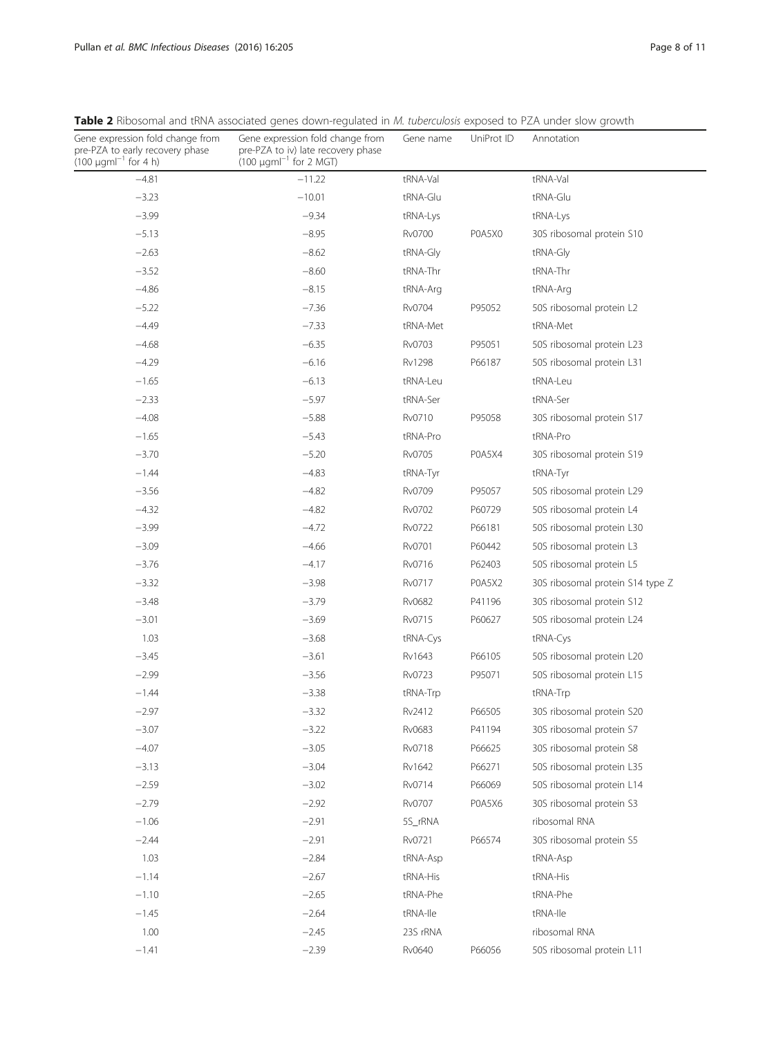| Gene expression fold change from<br>pre-PZA to early recovery phase<br>$(100 \text{ µgm}^{-1} \text{ for } 4 \text{ h})$ | Gene expression fold change from<br>pre-PZA to iv) late recovery phase<br>$(100 \text{ µgm}^{-1} \text{ for } 2 \text{ MGT})$ | Gene name     | UniProt ID | Annotation                       |
|--------------------------------------------------------------------------------------------------------------------------|-------------------------------------------------------------------------------------------------------------------------------|---------------|------------|----------------------------------|
| $-4.81$                                                                                                                  | $-11.22$                                                                                                                      | tRNA-Val      |            | tRNA-Val                         |
| $-3.23$                                                                                                                  | $-10.01$                                                                                                                      | tRNA-Glu      |            | tRNA-Glu                         |
| $-3.99$                                                                                                                  | $-9.34$                                                                                                                       | tRNA-Lys      |            | tRNA-Lys                         |
| $-5.13$                                                                                                                  | $-8.95$                                                                                                                       | Rv0700        | P0A5X0     | 30S ribosomal protein S10        |
| $-2.63$                                                                                                                  | $-8.62$                                                                                                                       | tRNA-Gly      |            | tRNA-Gly                         |
| $-3.52$                                                                                                                  | $-8.60$                                                                                                                       | tRNA-Thr      |            | tRNA-Thr                         |
| $-4.86$                                                                                                                  | $-8.15$                                                                                                                       | tRNA-Arg      |            | tRNA-Arg                         |
| $-5.22$                                                                                                                  | $-7.36$                                                                                                                       | Rv0704        | P95052     | 50S ribosomal protein L2         |
| $-4.49$                                                                                                                  | $-7.33$                                                                                                                       | tRNA-Met      |            | tRNA-Met                         |
| $-4.68$                                                                                                                  | $-6.35$                                                                                                                       | Rv0703        | P95051     | 50S ribosomal protein L23        |
| $-4.29$                                                                                                                  | $-6.16$                                                                                                                       | <b>Rv1298</b> | P66187     | 50S ribosomal protein L31        |
| $-1.65$                                                                                                                  | $-6.13$                                                                                                                       | tRNA-Leu      |            | tRNA-Leu                         |
| $-2.33$                                                                                                                  | $-5.97$                                                                                                                       | tRNA-Ser      |            | tRNA-Ser                         |
| $-4.08$                                                                                                                  | $-5.88$                                                                                                                       | Rv0710        | P95058     | 30S ribosomal protein S17        |
| $-1.65$                                                                                                                  | $-5.43$                                                                                                                       | tRNA-Pro      |            | tRNA-Pro                         |
| $-3.70$                                                                                                                  | $-5.20$                                                                                                                       | Rv0705        | P0A5X4     | 30S ribosomal protein S19        |
| $-1.44$                                                                                                                  | $-4.83$                                                                                                                       | tRNA-Tyr      |            | tRNA-Tyr                         |
| $-3.56$                                                                                                                  | $-4.82$                                                                                                                       | Rv0709        | P95057     | 50S ribosomal protein L29        |
| $-4.32$                                                                                                                  | $-4.82$                                                                                                                       | Rv0702        | P60729     | 50S ribosomal protein L4         |
| $-3.99$                                                                                                                  | $-4.72$                                                                                                                       | Rv0722        | P66181     | 50S ribosomal protein L30        |
| $-3.09$                                                                                                                  | $-4.66$                                                                                                                       | Rv0701        | P60442     | 50S ribosomal protein L3         |
| $-3.76$                                                                                                                  | $-4.17$                                                                                                                       | Rv0716        | P62403     | 50S ribosomal protein L5         |
| $-3.32$                                                                                                                  | $-3.98$                                                                                                                       | Rv0717        | POA5X2     | 30S ribosomal protein S14 type Z |
| $-3.48$                                                                                                                  | $-3.79$                                                                                                                       | Rv0682        | P41196     | 30S ribosomal protein S12        |
| $-3.01$                                                                                                                  | $-3.69$                                                                                                                       | Rv0715        | P60627     | 50S ribosomal protein L24        |
| 1.03                                                                                                                     | $-3.68$                                                                                                                       | tRNA-Cys      |            | tRNA-Cys                         |
| $-3.45$                                                                                                                  | $-3.61$                                                                                                                       | Rv1643        | P66105     | 50S ribosomal protein L20        |
| $-2.99$                                                                                                                  | $-3.56$                                                                                                                       | Rv0723        | P95071     | 50S ribosomal protein L15        |
| $-1.44$                                                                                                                  | $-3.38$                                                                                                                       | tRNA-Trp      |            | tRNA-Trp                         |
| $-2.97$                                                                                                                  | $-3.32$                                                                                                                       | Rv2412        | P66505     | 30S ribosomal protein S20        |
| $-3.07$                                                                                                                  | $-3.22$                                                                                                                       | Rv0683        | P41194     | 30S ribosomal protein S7         |
| $-4.07$                                                                                                                  | $-3.05$                                                                                                                       | Rv0718        | P66625     | 30S ribosomal protein S8         |
| $-3.13$                                                                                                                  | $-3.04$                                                                                                                       | Rv1642        | P66271     | 50S ribosomal protein L35        |
| $-2.59$                                                                                                                  | $-3.02$                                                                                                                       | Rv0714        | P66069     | 50S ribosomal protein L14        |
| $-2.79$                                                                                                                  | $-2.92$                                                                                                                       | Rv0707        | POA5X6     | 30S ribosomal protein S3         |
| $-1.06$                                                                                                                  | $-2.91$                                                                                                                       | 5S_rRNA       |            | ribosomal RNA                    |
| $-2.44$                                                                                                                  | $-2.91$                                                                                                                       | Rv0721        | P66574     | 30S ribosomal protein S5         |
| 1.03                                                                                                                     | $-2.84$                                                                                                                       | tRNA-Asp      |            | tRNA-Asp                         |
| $-1.14$                                                                                                                  | $-2.67$                                                                                                                       | tRNA-His      |            | tRNA-His                         |
| $-1.10$                                                                                                                  | $-2.65$                                                                                                                       | tRNA-Phe      |            | tRNA-Phe                         |
| $-1.45$                                                                                                                  | $-2.64$                                                                                                                       | tRNA-Ile      |            | tRNA-Ile                         |
| 1.00                                                                                                                     | $-2.45$                                                                                                                       | 23S rRNA      |            | ribosomal RNA                    |

−1.41 −2.39 Rv0640 P66056 50S ribosomal protein L11

<span id="page-7-0"></span>Table 2 Ribosomal and tRNA associated genes down-regulated in M. tuberculosis exposed to PZA under slow growth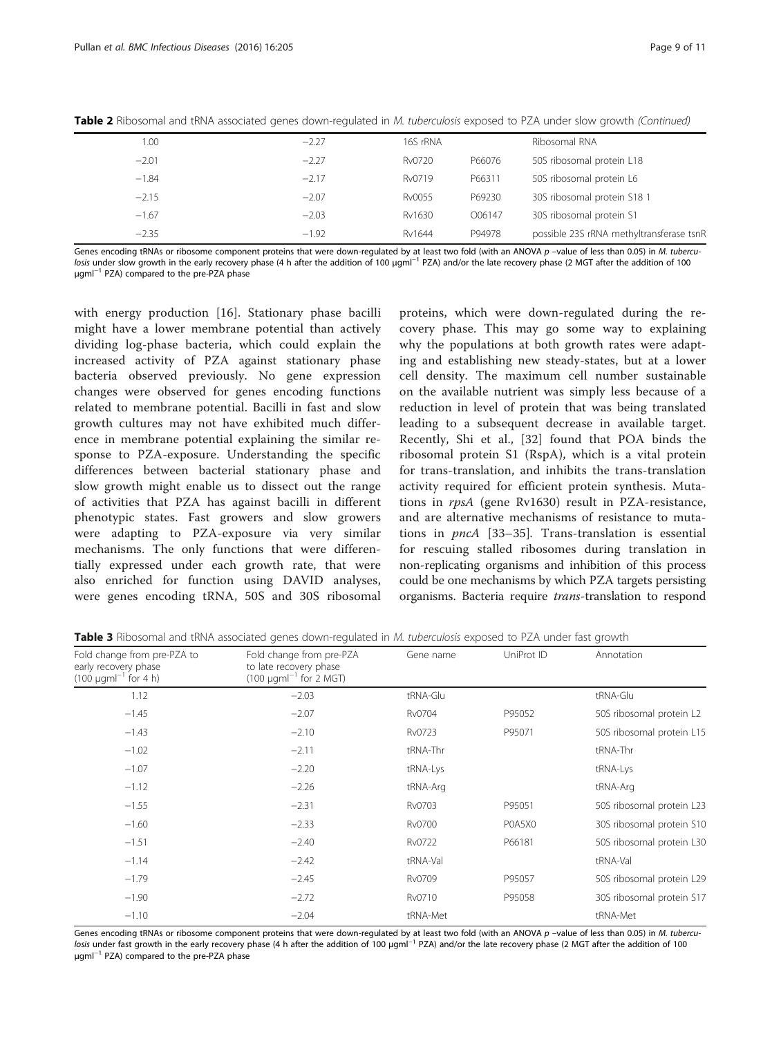| 1.00    | $-2.27$ | 16S rRNA |        | Ribosomal RNA                            |
|---------|---------|----------|--------|------------------------------------------|
| $-2.01$ | $-2.27$ | Rv0720   | P66076 | 50S ribosomal protein L18                |
| $-1.84$ | $-2.17$ | Rv0719   | P66311 | 50S ribosomal protein L6                 |
| $-2.15$ | $-2.07$ | Rv0055   | P69230 | 30S ribosomal protein S18 1              |
| $-1.67$ | $-2.03$ | Rv1630   | O06147 | 30S ribosomal protein S1                 |
| $-2.35$ | $-1.92$ | Rv1644   | P94978 | possible 23S rRNA methyltransferase tsnR |

<span id="page-8-0"></span>Table 2 Ribosomal and tRNA associated genes down-regulated in M. tuberculosis exposed to PZA under slow growth (Continued)

Genes encoding tRNAs or ribosome component proteins that were down-regulated by at least two fold (with an ANOVA p -value of less than 0.05) in M. tuberculosis under slow growth in the early recovery phase (4 h after the addition of 100 μgml−<sup>1</sup> PZA) and/or the late recovery phase (2 MGT after the addition of 100 μgml−<sup>1</sup> PZA) compared to the pre-PZA phase

with energy production [\[16](#page-10-0)]. Stationary phase bacilli might have a lower membrane potential than actively dividing log-phase bacteria, which could explain the increased activity of PZA against stationary phase bacteria observed previously. No gene expression changes were observed for genes encoding functions related to membrane potential. Bacilli in fast and slow growth cultures may not have exhibited much difference in membrane potential explaining the similar response to PZA-exposure. Understanding the specific differences between bacterial stationary phase and slow growth might enable us to dissect out the range of activities that PZA has against bacilli in different phenotypic states. Fast growers and slow growers were adapting to PZA-exposure via very similar mechanisms. The only functions that were differentially expressed under each growth rate, that were also enriched for function using DAVID analyses, were genes encoding tRNA, 50S and 30S ribosomal

proteins, which were down-regulated during the recovery phase. This may go some way to explaining why the populations at both growth rates were adapting and establishing new steady-states, but at a lower cell density. The maximum cell number sustainable on the available nutrient was simply less because of a reduction in level of protein that was being translated leading to a subsequent decrease in available target. Recently, Shi et al., [[32\]](#page-10-0) found that POA binds the ribosomal protein S1 (RspA), which is a vital protein for trans-translation, and inhibits the trans-translation activity required for efficient protein synthesis. Mutations in rpsA (gene Rv1630) result in PZA-resistance, and are alternative mechanisms of resistance to mutations in pncA [\[33](#page-10-0)–[35](#page-10-0)]. Trans-translation is essential for rescuing stalled ribosomes during translation in non-replicating organisms and inhibition of this process could be one mechanisms by which PZA targets persisting organisms. Bacteria require trans-translation to respond

|  |  |  |  |  | Table 3 Ribosomal and tRNA associated genes down-regulated in <i>M. tuberculosis</i> exposed to PZA under fast growth |  |  |  |  |  |  |  |
|--|--|--|--|--|-----------------------------------------------------------------------------------------------------------------------|--|--|--|--|--|--|--|
|--|--|--|--|--|-----------------------------------------------------------------------------------------------------------------------|--|--|--|--|--|--|--|

| Fold change from pre-PZA to<br>early recovery phase<br>$(100 \mu gml^{-1}$ for 4 h) | Fold change from pre-PZA<br>to late recovery phase<br>$(100 \mu g m)^{-1}$ for 2 MGT) | Gene name | UniProt ID | Annotation                |  |  |
|-------------------------------------------------------------------------------------|---------------------------------------------------------------------------------------|-----------|------------|---------------------------|--|--|
| 1.12                                                                                | $-2.03$                                                                               | tRNA-Glu  |            | tRNA-Glu                  |  |  |
| $-1.45$                                                                             | $-2.07$                                                                               | Rv0704    | P95052     | 50S ribosomal protein L2  |  |  |
| $-1.43$                                                                             | $-2.10$                                                                               | Rv0723    | P95071     | 50S ribosomal protein L15 |  |  |
| $-1.02$                                                                             | $-2.11$                                                                               | tRNA-Thr  |            | tRNA-Thr                  |  |  |
| $-1.07$                                                                             | $-2.20$                                                                               | tRNA-Lys  |            | tRNA-Lys                  |  |  |
| $-1.12$                                                                             | $-2.26$                                                                               | tRNA-Arg  |            | tRNA-Arg                  |  |  |
| $-1.55$                                                                             | $-2.31$                                                                               | Rv0703    | P95051     | 50S ribosomal protein L23 |  |  |
| $-1.60$                                                                             | $-2.33$                                                                               | Rv0700    | POA5XO     | 30S ribosomal protein S10 |  |  |
| $-1.51$                                                                             | $-2.40$                                                                               | Rv0722    | P66181     | 50S ribosomal protein L30 |  |  |
| $-1.14$                                                                             | $-2.42$                                                                               | tRNA-Val  |            | tRNA-Val                  |  |  |
| $-1.79$                                                                             | $-2.45$                                                                               | Rv0709    | P95057     | 50S ribosomal protein L29 |  |  |
| $-1.90$                                                                             | $-2.72$                                                                               | Rv0710    | P95058     | 30S ribosomal protein S17 |  |  |
| $-1.10$                                                                             | $-2.04$                                                                               | tRNA-Met  |            | tRNA-Met                  |  |  |

Genes encoding tRNAs or ribosome component proteins that were down-regulated by at least two fold (with an ANOVA p -value of less than 0.05) in M. tuberculosis under fast growth in the early recovery phase (4 h after the addition of 100 μgml<sup>-1</sup> PZA) and/or the late recovery phase (2 MGT after the addition of 100 μgml−<sup>1</sup> PZA) compared to the pre-PZA phase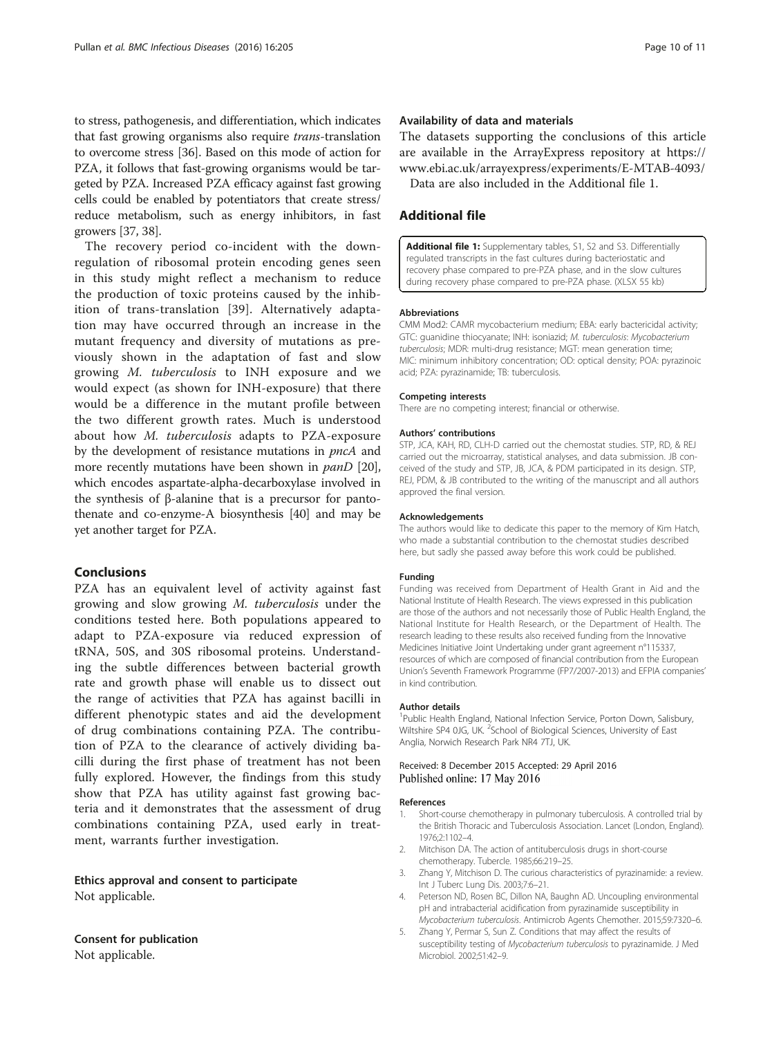<span id="page-9-0"></span>to stress, pathogenesis, and differentiation, which indicates that fast growing organisms also require trans-translation to overcome stress [[36](#page-10-0)]. Based on this mode of action for PZA, it follows that fast-growing organisms would be targeted by PZA. Increased PZA efficacy against fast growing cells could be enabled by potentiators that create stress/ reduce metabolism, such as energy inhibitors, in fast growers [\[37, 38\]](#page-10-0).

The recovery period co-incident with the downregulation of ribosomal protein encoding genes seen in this study might reflect a mechanism to reduce the production of toxic proteins caused by the inhibition of trans-translation [[39](#page-10-0)]. Alternatively adaptation may have occurred through an increase in the mutant frequency and diversity of mutations as previously shown in the adaptation of fast and slow growing M. tuberculosis to INH exposure and we would expect (as shown for INH-exposure) that there would be a difference in the mutant profile between the two different growth rates. Much is understood about how M. tuberculosis adapts to PZA-exposure by the development of resistance mutations in pncA and more recently mutations have been shown in *panD* [[20](#page-10-0)], which encodes aspartate-alpha-decarboxylase involved in the synthesis of β-alanine that is a precursor for pantothenate and co-enzyme-A biosynthesis [[40](#page-10-0)] and may be yet another target for PZA.

## Conclusions

PZA has an equivalent level of activity against fast growing and slow growing M. tuberculosis under the conditions tested here. Both populations appeared to adapt to PZA-exposure via reduced expression of tRNA, 50S, and 30S ribosomal proteins. Understanding the subtle differences between bacterial growth rate and growth phase will enable us to dissect out the range of activities that PZA has against bacilli in different phenotypic states and aid the development of drug combinations containing PZA. The contribution of PZA to the clearance of actively dividing bacilli during the first phase of treatment has not been fully explored. However, the findings from this study show that PZA has utility against fast growing bacteria and it demonstrates that the assessment of drug combinations containing PZA, used early in treatment, warrants further investigation.

Ethics approval and consent to participate Not applicable.

Consent for publication Not applicable.

## Availability of data and materials

The datasets supporting the conclusions of this article are available in the ArrayExpress repository at [https://](https://www.ebi.ac.uk/arrayexpress/experiments/E-MTAB-4093/) [www.ebi.ac.uk/arrayexpress/experiments/E-MTAB-4093/](https://www.ebi.ac.uk/arrayexpress/experiments/E-MTAB-4093/) Data are also included in the Additional file 1.

## Additional file

[Additional file 1:](dx.doi.org/10.1186/s12879-016-1533-z) Supplementary tables, S1, S2 and S3. Differentially regulated transcripts in the fast cultures during bacteriostatic and recovery phase compared to pre-PZA phase, and in the slow cultures during recovery phase compared to pre-PZA phase. (XLSX 55 kb)

#### Abbreviations

CMM Mod2: CAMR mycobacterium medium; EBA: early bactericidal activity; GTC: guanidine thiocyanate; INH: isoniazid; M. tuberculosis: Mycobacterium tuberculosis; MDR: multi-drug resistance; MGT: mean generation time; MIC: minimum inhibitory concentration; OD: optical density; POA: pyrazinoic acid; PZA: pyrazinamide; TB: tuberculosis.

#### Competing interests

There are no competing interest; financial or otherwise.

#### Authors' contributions

STP, JCA, KAH, RD, CLH-D carried out the chemostat studies. STP, RD, & REJ carried out the microarray, statistical analyses, and data submission. JB conceived of the study and STP, JB, JCA, & PDM participated in its design. STP, REJ, PDM, & JB contributed to the writing of the manuscript and all authors approved the final version.

#### Acknowledgements

The authors would like to dedicate this paper to the memory of Kim Hatch, who made a substantial contribution to the chemostat studies described here, but sadly she passed away before this work could be published.

#### Funding

Funding was received from Department of Health Grant in Aid and the National Institute of Health Research. The views expressed in this publication are those of the authors and not necessarily those of Public Health England, the National Institute for Health Research, or the Department of Health. The research leading to these results also received funding from the Innovative Medicines Initiative Joint Undertaking under grant agreement n°115337, resources of which are composed of financial contribution from the European Union's Seventh Framework Programme (FP7/2007-2013) and EFPIA companies' in kind contribution.

#### Author details

<sup>1</sup>Public Health England, National Infection Service, Porton Down, Salisbury, Wiltshire SP4 0JG, UK. <sup>2</sup>School of Biological Sciences, University of East Anglia, Norwich Research Park NR4 7TJ, UK.

#### Received: 8 December 2015 Accepted: 29 April 2016 Published online: 17 May 2016

#### References

- 1. Short-course chemotherapy in pulmonary tuberculosis. A controlled trial by the British Thoracic and Tuberculosis Association. Lancet (London, England). 1976;2:1102–4.
- 2. Mitchison DA. The action of antituberculosis drugs in short-course chemotherapy. Tubercle. 1985;66:219–25.
- 3. Zhang Y, Mitchison D. The curious characteristics of pyrazinamide: a review. Int J Tuberc Lung Dis. 2003;7:6–21.
- 4. Peterson ND, Rosen BC, Dillon NA, Baughn AD. Uncoupling environmental pH and intrabacterial acidification from pyrazinamide susceptibility in Mycobacterium tuberculosis. Antimicrob Agents Chemother. 2015;59:7320–6.
- 5. Zhang Y, Permar S, Sun Z. Conditions that may affect the results of susceptibility testing of Mycobacterium tuberculosis to pyrazinamide. J Med Microbiol. 2002;51:42–9.